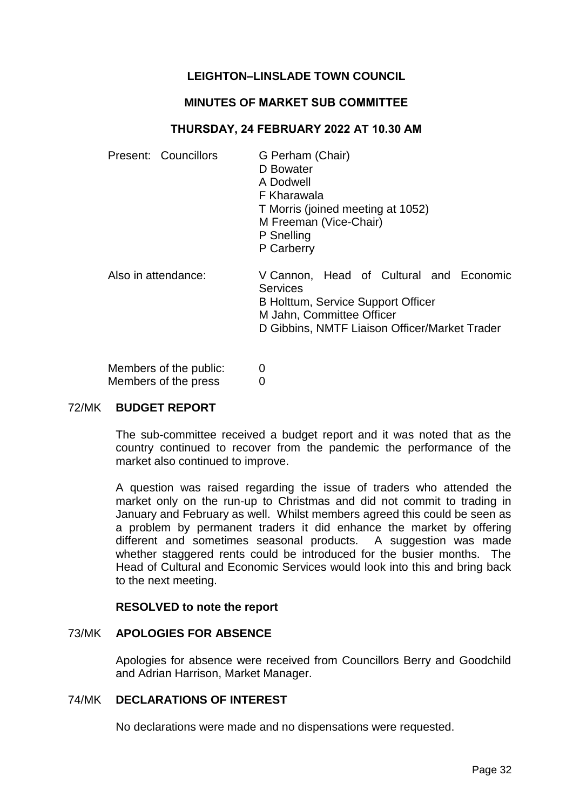# **LEIGHTON–LINSLADE TOWN COUNCIL**

## **MINUTES OF MARKET SUB COMMITTEE**

## **THURSDAY, 24 FEBRUARY 2022 AT 10.30 AM**

| Present: Councillors | G Perham (Chair)<br>D Bowater<br>A Dodwell<br>F Kharawala<br>T Morris (joined meeting at 1052)<br>M Freeman (Vice-Chair)<br>P Snelling<br>P Carberry                    |
|----------------------|-------------------------------------------------------------------------------------------------------------------------------------------------------------------------|
| Also in attendance:  | V Cannon, Head of Cultural and Economic<br>Services<br>B Holttum, Service Support Officer<br>M Jahn, Committee Officer<br>D Gibbins, NMTF Liaison Officer/Market Trader |

Members of the public: 0 Members of the press 0

## 72/MK **BUDGET REPORT**

The sub-committee received a budget report and it was noted that as the country continued to recover from the pandemic the performance of the market also continued to improve.

A question was raised regarding the issue of traders who attended the market only on the run-up to Christmas and did not commit to trading in January and February as well. Whilst members agreed this could be seen as a problem by permanent traders it did enhance the market by offering different and sometimes seasonal products. A suggestion was made whether staggered rents could be introduced for the busier months. The Head of Cultural and Economic Services would look into this and bring back to the next meeting.

#### **RESOLVED to note the report**

#### 73/MK **APOLOGIES FOR ABSENCE**

Apologies for absence were received from Councillors Berry and Goodchild and Adrian Harrison, Market Manager.

### 74/MK **DECLARATIONS OF INTEREST**

No declarations were made and no dispensations were requested.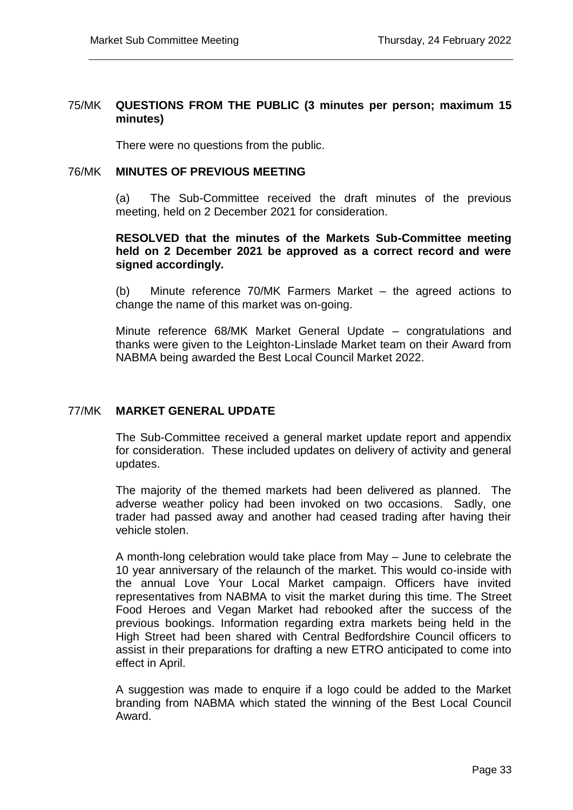## 75/MK **QUESTIONS FROM THE PUBLIC (3 minutes per person; maximum 15 minutes)**

There were no questions from the public.

## 76/MK **MINUTES OF PREVIOUS MEETING**

(a) The Sub-Committee received the draft minutes of the previous meeting, held on 2 December 2021 for consideration.

## **RESOLVED that the minutes of the Markets Sub-Committee meeting held on 2 December 2021 be approved as a correct record and were signed accordingly.**

(b) Minute reference 70/MK Farmers Market – the agreed actions to change the name of this market was on-going.

Minute reference 68/MK Market General Update – congratulations and thanks were given to the Leighton-Linslade Market team on their Award from NABMA being awarded the Best Local Council Market 2022.

# 77/MK **MARKET GENERAL UPDATE**

The Sub-Committee received a general market update report and appendix for consideration. These included updates on delivery of activity and general updates.

The majority of the themed markets had been delivered as planned. The adverse weather policy had been invoked on two occasions. Sadly, one trader had passed away and another had ceased trading after having their vehicle stolen.

A month-long celebration would take place from May – June to celebrate the 10 year anniversary of the relaunch of the market. This would co-inside with the annual Love Your Local Market campaign. Officers have invited representatives from NABMA to visit the market during this time. The Street Food Heroes and Vegan Market had rebooked after the success of the previous bookings. Information regarding extra markets being held in the High Street had been shared with Central Bedfordshire Council officers to assist in their preparations for drafting a new ETRO anticipated to come into effect in April.

A suggestion was made to enquire if a logo could be added to the Market branding from NABMA which stated the winning of the Best Local Council Award.